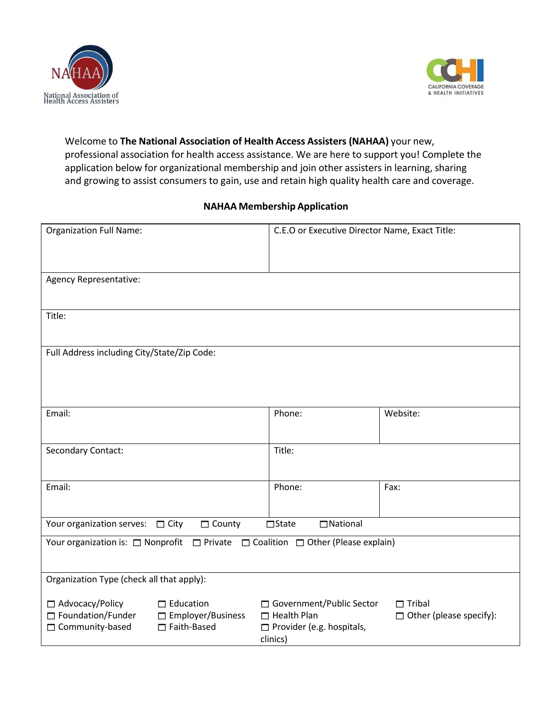



## Welcome to **The National Association of Health Access Assisters (NAHAA)** your new, professional association for health access assistance. We are here to support you! Complete the application below for organizational membership and join other assisters in learning, sharing and growing to assist consumers to gain, use and retain high quality health care and coverage.

## **NAHAA Membership Application**

| <b>Organization Full Name:</b>                                                                       |                                                             | C.E.O or Executive Director Name, Exact Title:                                                   |                                                 |  |
|------------------------------------------------------------------------------------------------------|-------------------------------------------------------------|--------------------------------------------------------------------------------------------------|-------------------------------------------------|--|
| Agency Representative:                                                                               |                                                             |                                                                                                  |                                                 |  |
| Title:                                                                                               |                                                             |                                                                                                  |                                                 |  |
| Full Address including City/State/Zip Code:                                                          |                                                             |                                                                                                  |                                                 |  |
| Email:                                                                                               |                                                             | Phone:                                                                                           | Website:                                        |  |
| Secondary Contact:                                                                                   |                                                             | Title:                                                                                           |                                                 |  |
| Email:                                                                                               |                                                             | Phone:                                                                                           | Fax:                                            |  |
| □ National<br>Your organization serves:  T City<br>$\Box$ County<br>$\Box$ State                     |                                                             |                                                                                                  |                                                 |  |
| Your organization is: $\Box$ Nonprofit $\Box$ Private $\Box$ Coalition $\Box$ Other (Please explain) |                                                             |                                                                                                  |                                                 |  |
| Organization Type (check all that apply):                                                            |                                                             |                                                                                                  |                                                 |  |
| $\Box$ Advocacy/Policy<br>Foundation/Funder<br>□ Community-based                                     | $\Box$ Education<br>$\Box$ Employer/Business<br>Faith-Based | □ Government/Public Sector<br>$\Box$ Health Plan<br>$\Box$ Provider (e.g. hospitals,<br>clinics) | $\Box$ Tribal<br>$\Box$ Other (please specify): |  |